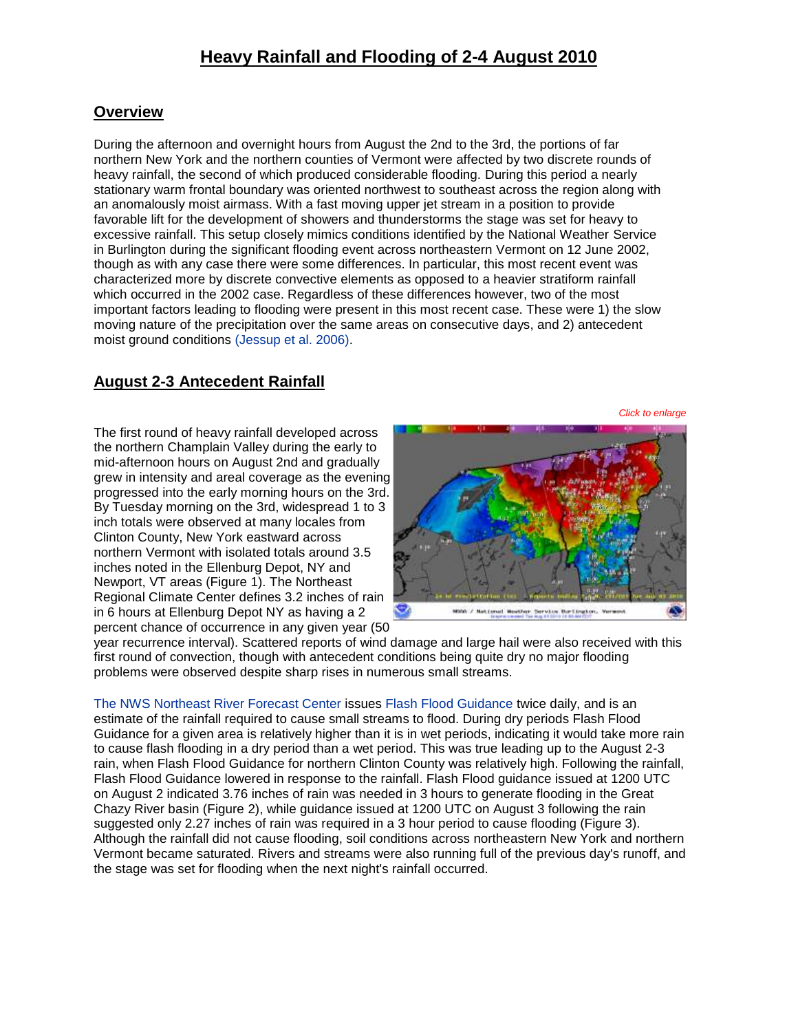# **Heavy Rainfall and Flooding of 2-4 August 2010**

## **Overview**

During the afternoon and overnight hours from August the 2nd to the 3rd, the portions of far northern New York and the northern counties of Vermont were affected by two discrete rounds of heavy rainfall, the second of which produced considerable flooding. During this period a nearly stationary warm frontal boundary was oriented northwest to southeast across the region along with an anomalously moist airmass. With a fast moving upper jet stream in a position to provide favorable lift for the development of showers and thunderstorms the stage was set for heavy to excessive rainfall. This setup closely mimics conditions identified by the National Weather Service in Burlington during the significant flooding event across northeastern Vermont on 12 June 2002, though as with any case there were some differences. In particular, this most recent event was characterized more by discrete convective elements as opposed to a heavier stratiform rainfall which occurred in the 2002 case. Regardless of these differences however, two of the most important factors leading to flooding were present in this most recent case. These were 1) the slow moving nature of the precipitation over the same areas on consecutive days, and 2) antecedent moist ground conditions [\(Jessup et al. 2006\).](http://journals.ametsoc.org/doi/pdf/10.1175/2007WAF2006066.1)

# **August 2-3 Antecedent Rainfall**

The first round of heavy rainfall developed across the northern Champlain Valley during the early to mid-afternoon hours on August 2nd and gradually grew in intensity and areal coverage as the evening progressed into the early morning hours on the 3rd. By Tuesday morning on the 3rd, widespread 1 to 3 inch totals were observed at many locales from Clinton County, New York eastward across northern Vermont with isolated totals around 3.5 inches noted in the Ellenburg Depot, NY and Newport, VT areas (Figure 1). The Northeast Regional Climate Center defines [3.2 inches of rain](http://www.nrcc.cornell.edu/pptext/)  [in 6 hours at Ellenburg Depot NY](http://www.nrcc.cornell.edu/pptext/) as having a 2 percent chance of occurrence in any given year (50



year recurrence interval). Scattered reports of wind damage and large hail were also received with this first round of convection, though with antecedent conditions being quite dry no major flooding problems were observed despite sharp rises in numerous small streams.

[The NWS Northeast River Forecast Center](http://www.weather.gov/nerfc/) issues [Flash Flood Guidance](http://www.weather.gov/nerfc/ffg) twice daily, and is an estimate of the rainfall required to cause small streams to flood. During dry periods Flash Flood Guidance for a given area is relatively higher than it is in wet periods, indicating it would take more rain to cause flash flooding in a dry period than a wet period. This was true leading up to the August 2-3 rain, when Flash Flood Guidance for northern Clinton County was relatively high. Following the rainfall, Flash Flood Guidance lowered in response to the rainfall. Flash Flood guidance issued at 1200 UTC on August 2 indicated 3.76 inches of rain was needed in 3 hours to generate flooding in the Great Chazy River basin (Figure 2), while guidance issued at 1200 UTC on August 3 following the rain suggested only 2.27 inches of rain was required in a 3 hour period to cause flooding (Figure 3). Although the rainfall did not cause flooding, soil conditions across northeastern New York and northern Vermont became saturated. Rivers and streams were also running full of the previous day's runoff, and the stage was set for flooding when the next night's rainfall occurred.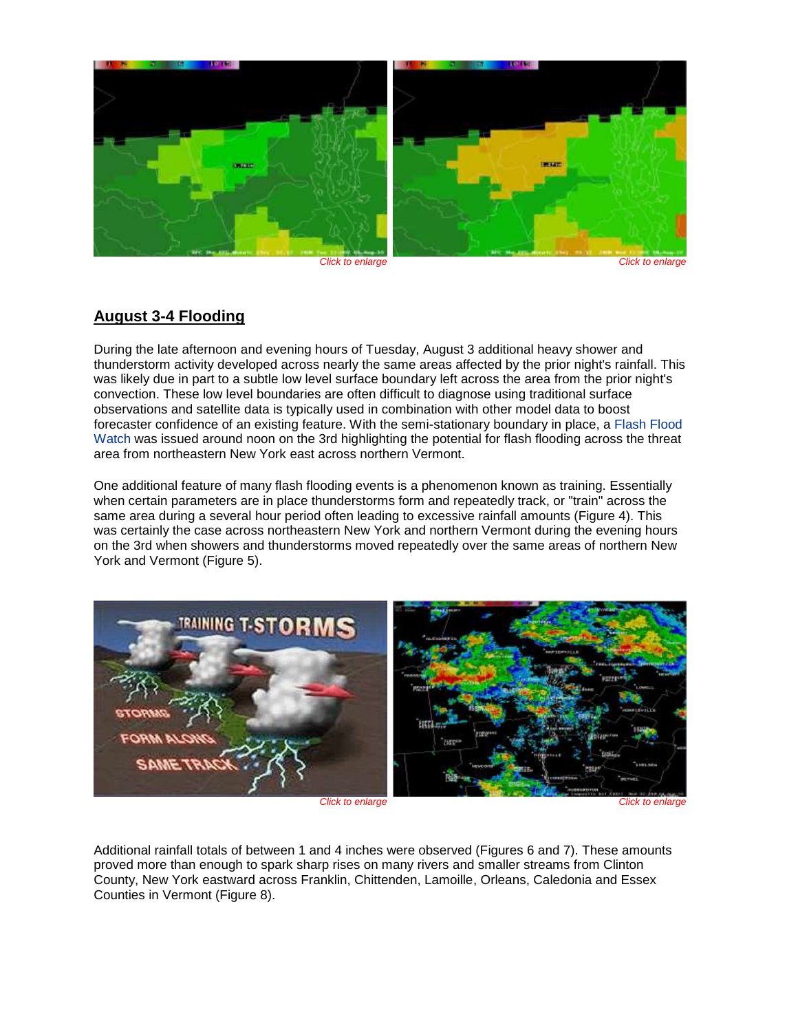

### **August 3-4 Flooding**

During the late afternoon and evening hours of Tuesday, August 3 additional heavy shower and thunderstorm activity developed across nearly the same areas affected by the prior night's rainfall. This was likely due in part to a subtle low level surface boundary left across the area from the prior night's convection. These low level boundaries are often difficult to diagnose using traditional surface observations and satellite data is typically used in combination with other model data to boost forecaster confidence of an existing feature. With the semi-stationary boundary in place, a [Flash Flood](http://mesonet.agron.iastate.edu/wx/afos/p.php?pil=FFABTV&e=201008031505)  [Watch](http://mesonet.agron.iastate.edu/wx/afos/p.php?pil=FFABTV&e=201008031505) was issued around noon on the 3rd highlighting the potential for flash flooding across the threat area from northeastern New York east across northern Vermont.

One additional feature of many flash flooding events is a phenomenon known as training. Essentially when certain parameters are in place thunderstorms form and repeatedly track, or "train" across the same area during a several hour period often leading to excessive rainfall amounts (Figure 4). This was certainly the case across northeastern New York and northern Vermont during the evening hours on the 3rd when showers and thunderstorms moved repeatedly over the same areas of northern New York and Vermont (Figure 5).



Additional rainfall totals of between 1 and 4 inches were observed (Figures 6 and 7). These amounts proved more than enough to spark sharp rises on many rivers and smaller streams from Clinton County, New York eastward across Franklin, Chittenden, Lamoille, Orleans, Caledonia and Essex Counties in Vermont (Figure 8).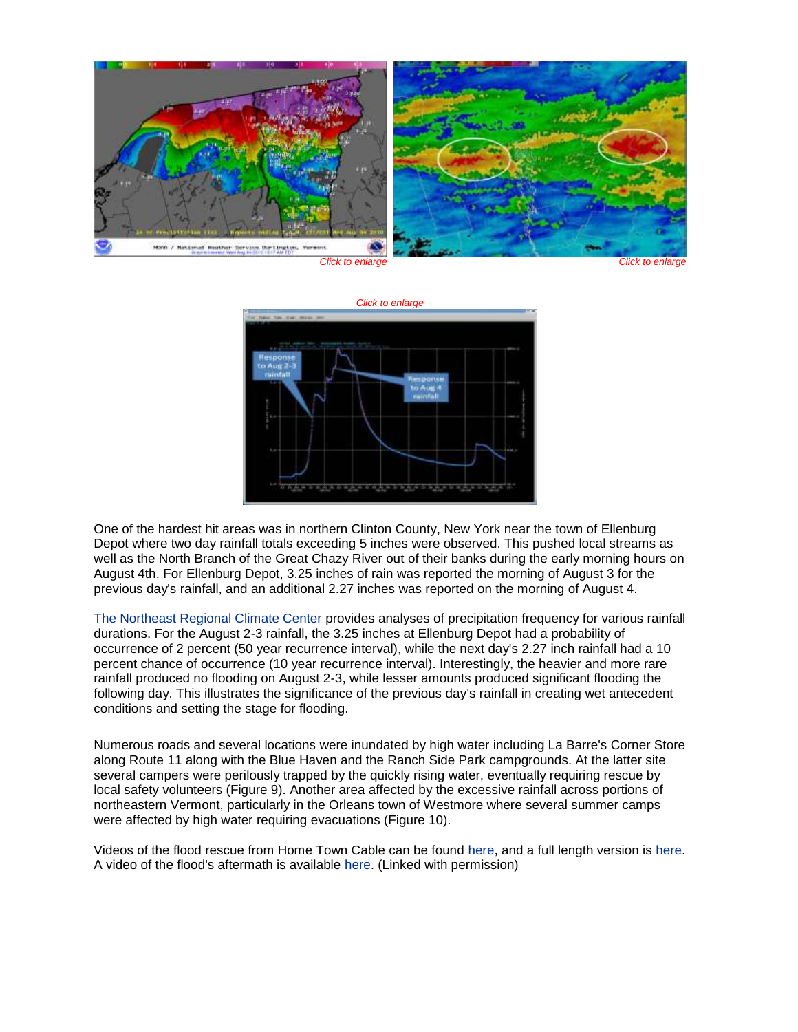



One of the hardest hit areas was in northern Clinton County, New York near the town of Ellenburg Depot where two day rainfall totals exceeding 5 inches were observed. This pushed local streams as well as the North Branch of the Great Chazy River out of their banks during the early morning hours on August 4th. For Ellenburg Depot, 3.25 inches of rain was reported the morning of August 3 for the previous day's rainfall, and an additional 2.27 inches was reported on the morning of August 4.

[The Northeast Regional Climate Center](http://www.nrcc.cornell.edu/) provides analyses of precipitation frequency for various rainfall durations. For the August 2-3 rainfall, the 3.25 inches at Ellenburg Depot had a probability of occurrence of 2 percent (50 year recurrence interval), while the next day's 2.27 inch rainfall had a 10 percent chance of occurrence (10 year recurrence interval). Interestingly, the heavier and more rare rainfall produced no flooding on August 2-3, while lesser amounts produced significant flooding the following day. This illustrates the significance of the previous day's rainfall in creating wet antecedent conditions and setting the stage for flooding.

Numerous roads and several locations were inundated by high water including La Barre's Corner Store along Route 11 along with the Blue Haven and the Ranch Side Park campgrounds. At the latter site several campers were perilously trapped by the quickly rising water, eventually requiring rescue by local safety volunteers (Figure 9). Another area affected by the excessive rainfall across portions of northeastern Vermont, particularly in the Orleans town of Westmore where several summer camps were affected by high water requiring evacuations (Figure 10).

Videos of the flood rescue from Home Town Cable can be found [here,](http://www.hometowncablenetwork.com/index.php?option=com_hwdvideoshare&task=viewvideo&Itemid=127&video_id=6662) and a full length version is [here.](http://www.hometowncablenetwork.com/index.php?option=com_hwdvideoshare&task=viewvideo&Itemid=127&video_id=6660) A video of the flood's aftermath is available [here.](http://www.hometowncablenetwork.com/index.php?option=com_hwdvideoshare&task=viewvideo&Itemid=127&video_id=6661) (Linked with permission)